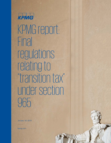

KPMG report: **Final** regulations relating to "transition tax" under section 965

January 18, 2019

kpmg.com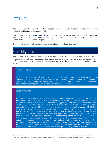### Introduction

The U.S. Treasury Department and IRS on Tuesday, January 15, 2019, released final regulations relating to the "transition tax" under section 965.

Read the text of the **[final regulations](https://www.irs.gov/pub/irs-drop/td-reg-104226-18.pdf)** [PDF 1.19 MB] (305 pages) as published on the IRS webpage. Because of the partial shutdown of the federal government, it is uncertain when these final regulations will be published in the Federal Register.

This report provides initial impressions and observations about these final regulations.

### Applicability dates

The final regulations retain the applicability dates included in the proposed regulations. Thus, the final regulations generally apply beginning with a foreign corporation's inclusion year and, with respect to a U.S. person, beginning with the tax year in which or with which the foreign corporation's inclusion year ends.

#### KPMG observation

As a result of these retroactive effective dates, and in light of the fact that all timely tax returns for calendar year 2017 (the first inclusion year for most taxpayers) have now been filed, consideration must be given to the impact of rules contained in these final regulations that may not have (and in some cases could not possibly have) been reflected on those returns.

#### KPMG observation

As discussed more fully below, the final regulations make changes from prior guidance as to the prescribed content of statements and agreements necessary to preserve deferral in certain transactions that would otherwise accelerate or trigger deferred installment payments under section 965(h). The final regulations extend the due date for such statements and agreements (generally required within 30 days of the acceleration or triggering event) to January 31, 2019, if they would otherwise be due earlier. On its face, it is unclear whether this extension is meant to indicate that filings which have already been made in accordance with the earlier guidance must be updated by January 31, or whether the extension applies only to filings which have not otherwise been made at all. However, the preamble to the proposed regulations did contain language stating that taxpayers may choose to apply the provisions of the proposed regulations governing statements, elections and agreements "in their entirety to all tax years as if they were final regulations." This suggests that taxpayers who have fully complied with the requirements of the proposed regulations need not update their filings. For taxpayers who have any doubt as to whether their prior filings in fact fully complied with the proposed regulations, it may be appropriate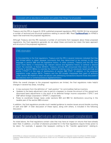#### to proceed with an abundance of caution and update their filings if at all possible.

#### **Background**

Treasury and the IRS on August 9, 2018, published proposed regulations (REG-104226-18) that answered a number of technical and structural questions relating to section 965. Read **[TaxNewsFlash](https://home.kpmg/us/en/home/insights/2018/08/tnf-analysis-section-965-proposed-regulations.html)** for KPMG's report that examines the proposed regulations.

Although Treasury and the IRS received a number of comments from taxpayers about these proposed regulations, the final regulations generally do not adopt these comments but retain the basic approach and structure of the proposed regulations.

#### KPMG observation

In the preamble to the final regulations, Treasury and the IRS in several instances indicated that they had limited ability to adopt taxpayer comments that they determined to be contrary to the clear language in section 965 and the legislative history. In other contexts, Treasury and the IRS have taken more liberty in interpreting the relevant statute and legislative history to achieve a desired result. For example, in Notice 2019-01, Treasury and the IRS announced their intent to use their authority in section 965(o) to override the historical ordering rules for previously taxed earnings and profits ("PTEP") in the case of distributions of section 965 PTEP. In addition, in the proposed regulations under section 951A, Treasury and the IRS broadly interpreted their grant of authority under section 951A(d)(4) to adopt anti-abuse rules addressing transactions beyond those discussed in the statutory text or contemporaneous legislativehistory.

While the overall changes to the proposed regulations are limited, the final regulations make helpful changes in several key areas, including:

- A new exclusion from the definition of "cash position" for commodities held as inventory
- Updates to the basis adjustment rules to permit a taxpayer to choose the amount of the upward and downward basis adjustments in the stock of its deferred foreign income corporation ("DFIC") and E&P deficit foreign corporation ("EPDFC"), respectively
- Rules to coordinate foreign taxes under sections 902 and 960 for distributions occurring in the taxable year of the section 965 inclusion

In addition, the final regulations provide much needed guidance to resolve issues around double counting of cash and E&P. A fuller discussion of these topics, along with others, is included in the following discussion.

## Impact on previously filed returns and other imminent considerations

As noted above, the final regulations contain rules that may have an impact on returns that have already been filed. In addition, a number of elections provided for in the final regulations require timely action to be taken. For example, it appears that taxpayers wishing to file "transfer agreements" relating to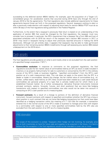succeeding to the deferred section 965(h) liability—for example, upon the acquisition of a Target U.S. consolidated group—for acceleration events that occurred during 2018 have only through the end of January 2019 to file the agreements. The final regulations also include additional requirements for these agreements beyond those set forth in the proposed regulations. Second, taxpayers wishing to elect or alter a previously made election with respect to adjusting stock basis for section 965(b) PTEP must do so within 90 days of the final regulations being published in the Federal Register.

Furthermore, to the extent that a taxpayer's previously filed return is based on an understanding of the application of section 965 that would be changed by the final regulations, the taxpayer must now consider how to proceed. In particular, the IRS's requirement that a taxpayer file a Form 965 and host of associated schedules with its 2018 tax return—if the taxpayer had a section 965 inclusion in 2017 or 2018—may result in taxpayers having to adjust their previously reported amounts in making the 2018 disclosures. Although not yet entirely clear, it appears that taxpayers may be able to make go-forward adjustments to their remaining section 965(h) installments through self-assessing any section 965-related underpayment on the 2018 return.

### Cash assets

The final regulations provide guidance on what is and mostly what is not excluded from the cash position of a specified foreign corporation ("SFC").

- **Commodities exclusion:** In response to comments on the proposed regulations, the final regulations exclude the fair market value of commodities held by an SFC as stock in trade included in inventory or as property held primarily for sale to customers or consumed by the SFC in the ordinary course of the SFC's trade or business (together, "specified commodities") from the SFC's cash position as of a cash measurement date. This rule does not apply to the extent that the SFC is a dealer or trader in commodities. Absent this change, the fair market value of commodities (e.g., oil, lumber, coffee beans, lead) held by an SFC likely would have been treated as a cash asset because commodities are personal property of a type that is actively traded and for which there is an established financial market. As a further consequence, derivative financial instruments (notional principal contracts, options, forwards, futures, and short positions) that are bona fide hedging transactions with respect to specified commodities now also would not be taken into account in computing an SFC's cash position as of a measuring date.
- **Forward contracts:** As a result of a change to portions of the definition of derivative financial instrument, forward contracts with respect to specified commodities (whether the SFC has a long or short position in such contract) that are not bona fide hedging transactions but that could have been identified as a hedging transaction within the meaning of § 1.1221-2(b) (for example, a transaction entered into in the normal course of the SFC's trade or business to manage price risks with respect to a commodity) with respect to one or more specified commodities held by the SFC also are excluded from the cash position of an SFC as of a measuring date.

#### KPMG observation

The scope of this exclusion is unclear. Taxpayers often hedge net risk involving, for example, price risk on both inventories on hand for future sale and supplies to be acquired in the future. It is hard to believe that the exception in the final regulations would not be intended to cover one or more

<sup>© 2019</sup> KPMG LLP, a Delaware limited liability partnership and the U.S. member firm of the KPMG network of independent member firms affiliated with KPMG International Cooperative ("KPMG International"), a Swiss entity. All rights reserved. Printed in the U.S.A. The KPMG name and logo are registered trademarks or trademarks of KPMG International.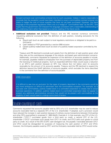forward contracts over commodities entered into for such a purpose. Indeed, it seems reasonable to conclude that the exception would have been intended to cover a commodities contract entered into solely to hedge the cost of future supplies that have not yet been purchased. However, the literal language of the proposed regulations refers only to a hedge of "commodities held" by the SFC. One hopes that the government will interpret this language consistent with a reasonable understanding of the underlying intent rather than based on a narrow reading of the literal words.

- **Additional exclusions not provided:** Treasury and the IRS received numerous comments requesting additional exclusions from the definition of cash position, including exclusions for the following:
	- o Illiquid cash (such as cash subject to local regulatory restrictions or obligated to be paid to a third party)
	- o Cash related to PTEP generated by a section 956 inclusion
	- o Certain publicly traded stock (such as stock of a publicly traded corporation controlled by the SFC)

Treasury and IRS declined to exclude such assets from the definition of cash position given what they view as the unambiguous language of the statute, and based upon administration concerns. Additionally, comments requested an expansion of the definition of accounts payable to include, for example, payables related to employees from the purchase of depreciable property and from the licensing of intellectual property. Such an expanded definition likely would cause a reduction in an SFC's cash position because an SFC may reduce (but not below zero) its accounts receivable by the amount of its accounts payable. Treasury and the IRS declined to expand the definition beyond the GAAP definition of accounts payable, which excludes the items described in the comments from the definition of accounts payable.

#### KPMG observation

It is difficult to see how an exclusion for the types of property described in the comments would be any more ambiguous or difficult to administer than the commodities exception. For example, as is the case with commodities, publicly traded stock in a controlled corporation is closely tied to actual business operations. In addition, publicly traded stock in a controlled corporation does not appear to present any additional administrative concerns that would not be present with commodities as the eligibility of each would need to undergo some level ofreview.

## Double counting of cash

Comments requested that accounts payable held by SFCs of a U.S. shareholder may be used to reduce accounts receivable held by a separate SFC of the U.S. shareholder. If adopted, such a provision would have reduced the increase in cash position because of ordinary course transactions between third parties and other SFCs exemplified in proposed § 1.965-3(b)(3), Example 4. In that example, one CFC of the U.S. shareholder ("CFC1") purchases goods from a third party on credit, a second CFC of the U.S. shareholder ("CFC2") purchases such goods from CFC1 on credit, and CFC2 sells such goods to a third party on credit. As a result of the SFC-to-SFC cash disregard rule, the payable / receivable between CFC1 and CFC2 would be disregarded for purposes of measuring the cash position of CFC1 and CFC2; however, the third-party payable owed by CFC1 and the third-party receivable held by CFC2 would not be

© 2019 KPMG LLP, a Delaware limited liability partnership and the U.S. member firm of the KPMG network of independent member firms affiliated with KPMG International Cooperative ("KPMG International"), a Swiss entity. All rights reserved. Printed in the U.S.A. The KPMG name and logo are registered trademarks or trademarks of KPMG International.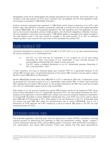disregarded, could not be netted absent the change requested by the commenter, and would result in an increase in the cash position of CFC2. Such comment was not adopted, and the final regulations retain the example in proposed § 1.965-3(b)(3), Example 4.

Another comment requested that proposed § 1.965-3(b)(2) (which allows a reduction of an SFC's cash position upon demonstration of double counting) be expanded to include all of the cash assets described in section 965(c)(3)(B). As in the proposed regulations, the final regulations limit the application of such rule to net accounts receivable, actively traded property, and short-term obligations. Helpfully, however, the final regulations make clear that proposed § 1.965-3(b)(2) applies to disregard such assets included in the cash position even if the cash would be included in the cash position of an SFC on different measuring dates. Such could be the case when an SFC liquidates into another SFC.

### Double counting of E&P

Comments identified two situations in which the E&P of an SFC with a U.S. tax year ending November 30 may be included by a U.S. shareholder twice:

- (i) The SFC is a CFC that has an investment in U.S. property for its tax year ending November 30, 2017, that causes its U.S. shareholder to have inclusion pursuant to sections 956 and 951(a)(1)(B) with respect to such year;and
- (ii) The SFC makes a dividend distribution to its U.S. shareholder between November 2, 2017, and December 1, 2017.

In both situations, the issue is resolved based upon whether PTEP (in (i) generated because of the section 956 inclusion and in (ii) generated because of the section 965 inclusion) may be used to reduce the SFC's post-1986 E&P as of November 2.

Section 965(d)(2)(B) provides that post-1986 E&P of a CFC is reduced by E&P that, if distributed, would be excluded from the gross income of a U.S. shareholder under section 959. In neither case would the E&P representing the section 956 inclusion or the dividend distribution be E&P that would be excluded from the U.S. shareholder's gross income under section959.

With respect to (i), the amount included as a section 956 inclusion would not be treated as PTEP if such amount were distributed to the U.S. shareholder during the CFC's tax year ending November 30, 2017, because of the application of section 959(f) and, instead, such amounts would be treated as a distribution of untaxed E&P described in section 959(c)(3) if distributed; thus, such PTEP may not be used to reduce post-1986 E&P as of November 2, 2017. With respect to (ii), the distribution to the U.S. shareholder does not reduce the post-1986 E&P under the anti-diminution rule of section 965(d)(3)(B), and is not a distribution of PTEP because the PTEP created as a result of section 965 arises in the SFC tax year ending November 30, 2018.

### Distribution ordering rules

The proposed regulations, following upon rules first announced in Notice 2018-07, contained a five-step ordering process for determining the treatment of E&P and distributions among "regular" subpart F income, distributions between SFCs, section 965(a) subpart F Inclusions, other distributions (including to U.S. shareholders), and section 956 inclusions. These rules indicate that they apply specifically for

<sup>© 2019</sup> KPMG LLP, a Delaware limited liability partnership and the U.S. member firm of the KPMG network of independent member firms affiliated with KPMG International Cooperative ("KPMG International"), a Swiss entity. All rights reserved. Printed in the U.S.A. The KPMG name and logo are registered trademarks or trademarks of KPMG International.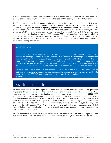purposes of section 959 (that is, for when the E&P would be included vs. excluded from gross income by the U.S. shareholders) and, by silent inference, not for section 902 pooling or section 960 purposes.

The final regulations clarify this apparent disconnect by providing that section 960 is applied before section 902 (meaning credits must generally first be associated with regular or 965 subpart F Inclusions), but that effect is given for section 902 pooling purposes to distributions between SFCs that occur prior to the November 2, 2017 measurement date. SFC-to-SFC distributions between the November 2, 2017 and December 31, 2017 measurement dates are re-determined to be distributions of PTEP and, thus, have no effect on the distributing or recipient SFCs' section 902 pools, meaning they do not correlatively change the deemed paid credits associated with the section 965(a) inclusion. The final regulations also set forth an ordering rule for the allocation of the section 902 pools to the various credits, which generally follows the ordering rules for distributions.

#### KPMG observation

The proposed regulations' implementation of the ordering rules, and the potential to "de-link" the section 902 earnings and taxes from the "location" of the section 965(a) earnings, was perhaps the most difficult aspect of the proposed regulations to navigate and quantify. The changes in the final regulations, in particular the redetermination of distributions between measurement dates as being out of PTEP despite those distributions ordinarily first being determined in the step prior to the section 965 consequences, significantly reduce the uncertainty caused by the proposed regulations.

Taxpayers should be mindful that non-dividend reductions to an SFC's section 902 pool occurring between the measurement dates, such as deductions for interest and for services, can still lead to the SFC's section 902 E&P pool varying (perhaps meaningfully) from the final section 965(a) earnings amount.

### Basis adjustment election

As mentioned above, the final regulations retain the key policy decisions made in the proposed regulations. Notably, this includes the rule that a U.S. shareholder's receipt of section 965(b) PTEP requires a basis reduction to the distributing corporation's stock even though the section 965(b) PTEP was created without a preceding commensurate increase in basis. Also retained was the concept that a taxpayer should be entitled to increase its CFC stock basis for section 965(b) PTEP only to the extent that there is a reduction in basis with respect to the stock in an EPDFC. The final regulations, however, do ameliorate the "all or nothing" aspect of the proposed regulations by allowing taxpayers to elect, as an alternative to "full" section 965(b) PTEP basis increase and E&P deficit stock reduction (even if that resulted in immediate capital gain), to instead make only partial increase and decrease adjustments for basis and section 965(b) PTEP.

As first announced in Notice 2018-78, taxpayers have a 90-day window after the final regulations are published in the Federal Register to make, or amend a previously made, basis adjustment election.

© 2019 KPMG LLP, a Delaware limited liability partnership and the U.S. member firm of the KPMG network of independent member firms affiliated with KPMG International Cooperative ("KPMG International"), a Swiss entity. All rights reserved. Printed in the U.S.A. The KPMG name and logo are registered trademarks or trademarks of KPMG International.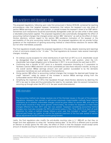### Anti-avoidance and disregard rules

The proposed regulations, following upon rules first announced in Notice 2018-26, contained far-reaching anti-avoidance rules that targeted taxpayer transactions that reduce the taxpayer's pro rata share of section 965(a) earnings or foreign cash position, or would increase the taxpayer's share of an E&P deficit. Sometimes such transactions would be automatically disregarded under per se rules while in other cases a rebuttable presumption applied. The proposed regulations also automatically disregarded the effect of accounting method changes that changed certain section 965 "elements" as well as the effect of checkthe-box elections, without regard to the section 965 avoidance motivation of the taxpayer or the permissibility of the prior accounting method. Notably, the proposed regulations did not provide further guidance on the implications of ignoring accounting method or check-the-box elections for section 965, but not other interrelated, purposes.

The final regulations broadly adopt the proposed regulations in this area, despite receiving (and rejecting) a host of comments related to the "-4 rules." The final regulations do however make several meaningful changes, including:

- An ordinary course exception for when distributions of cash from an SFC to a U.S. shareholder would be disregarded (that is, added back) in determining the SFC's cash position, when the U.S. shareholder had a legal obligation prior to November 2, 2017, to re-contribute the cash back to SFC;
- Confirming that a transfer of SFC stock to a domestic corporation (including an S corporation to facilitate a section 965(i) election) will not be a prohibited pro rata share reduction transfer, as long as the overall section 965(a) earnings amount and cash position succeeded to by the domestic corporation transferee are such attributes of thetransferors;
- Giving section 965 effect to accounting method changes that increase the deemed paid foreign tax credit "element" solely by reason of the increase in section 965(a) earnings arising from the (unfavorable) section 481(a) adjustment; and
- Simplifying the treatment of SFCs that liquidated through check-the-box elections by deeming the SFC's tax year to close and thus precluding the need to, for example, take into account transactions occurring up through when the SFC's U.S. tax year would otherwiseend.

#### KPMG observation

The accounting method rule change resolves one of the thorniest issues in this part of the proposed regulations; taxpayers that wanted to self-correct previously impermissible methods faced material uncertainty as to whether unfavorable changes would be given effect for section 965, and what the overall result would be if they were ignored. Unfortunately, the window for taxpayers to make these changes effective for their 2017 year has now passed. Taxpayers considering accounting method changes now must also consider the IRS's still-current policy in Rev. Proc. 2015-13 on (lack of) audit protection for when a method change follows a prior year that included a "spiked" increase in deemed paid foreign tax credits, as well as the potential treatment of the four-year spread of section 481(a) adjustments as GILTI tested income going forward.

Lastly, the final regulations also modify the anti-double counting rules in § 1.965-4(f) so that they no longer limit their application to when the "tentative testing date" of the SFCs is different and to provide an election to simply ignore the -4(f) rules, the effect of which is that the taxpayer would accept some amount of double-counting for related-party payments as the price of administrative ease.

<sup>© 2019</sup> KPMG LLP, a Delaware limited liability partnership and the U.S. member firm of the KPMG network of independent member firms affiliated with KPMG International Cooperative ("KPMG International"), a Swiss entity. All rights reserved. Printed in the U.S.A. The KPMG name and logo are registered trademarks or trademarks of KPMG International.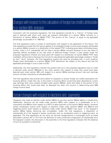## Changes with respect to the calculation of foreign tax credits attributable to a section 965 inclusion

Consistent with the proposed regulations, the final regulations provide for a "haircut" of foreign taxes paid or deemed paid when such taxes are properly attributable to a section 965(a) inclusion or a distribution of section 965(a) or 965(b) PTEP. The amount of the "haircut" is equal to the applicable percentage, as provided in § 1.965-5(d).

The final regulations make a number of clarifications with respect to the application of this haircut. The final regulations provide that the haircut applies to all creditable foreign income taxes properly attributable to a section 965(a) inclusion or a distribution of the related PTEP, including gross basis withholding taxes. Further, when a U.S. shareholder did not have a section 965(a) inclusion because its pro rata share of specified deficits exceeded its pro rata share of deferred foreign income, it was unclear under the proposed regulations whether any taxes paid with respect to a distribution of section 965(b) PTEP were creditable without haircut because the formula for calculating the applicable percentage created a "divide by zero" result. However, the final regulations resolve this issue by providing that, in such instance, foreign taxes attributable to a section 965(b) PTEP distribution are subject to the haircut and that the applicable percentage in such a case is 0.557.

Additionally, the final regulations maintain the position laid out in the proposed regulations that no credit is allowed under section 960(a)(3) or any other section with respect to taxes that would have been deemed paid under section 960 with respect to a section 965(a) earnings amount had such earnings amount not been reduced by an allocable deficit.

The final regulations also provide some ability for taxpayers to access foreign tax credits associated with hovering deficits. Under this rule, to the extent a hovering deficit would have been absorbed by current year earnings (that were instead included under section 965(a)), taxes that relate to the portion of the hovering deficit that would have been so absorbed are taken into account in determining post-1986 foreign income taxes.

#### Certain changes with respect to elections and payments

Taxpayers may make an election under section 965(h) to pay their section 965(a) liability in installments. Additionally, elections can be made under sections 965(i) (with respect to a shareholder of an S corporation) and 965(m) (with respect to a REIT) to defer payment of the section 965(a) liability. However certain acceleration events (with respect to elections made under sections 965(h) and 965(m)) and triggering events (with respect to elections made under section 965(i)) may result in the taxpayer's section 965(a) liability becoming due immediately. Under the final regulations, a disposition of substantially all of the taxpayer's assets constitutes such an acceleration event or triggering event, as applicable. The final regulations do not carve out tax-free reorganizations or exchanges (such as those described in section 351 or 721) from the definition of what constitutes a disposition of substantially all of the taxpayer's assets; the discussion in the preamble to the final regulations indicates that the absence of such an exception is intentional.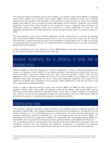The results of certain acceleration events (with respect to an election under section 965(h)) or triggering events (with respect to an election under section 965(i)) can be avoided by entry into a transfer agreement by the transferor and transferee of the transferor's assets pursuant to which the transferee agrees to be liable for the any remaining section 965 liability of the transferor. Generally, such transfer agreement must be filed within 30 days of the acceleration event or triggering event. However, for acceleration events or triggering events that occurred on or before December 31, 2018, the final regulations provide that the transfer agreement will be considered timely filed if it is filed by January 31, 2019.

The final regulations require that a transfer agreement include a statement as to whether the leverage ratio of the section 965(h) transferee exceeds three to one. In the event that it does, the IRS may use this statement in determining the accuracy of the transferee's representation that it is able to make the remaining payments so assumed and, if it is determined that the representation is incorrect, the transfer agreement may be rejected.

Another acceleration event with respect to a section 965(h) election is the IRS's assessment of a penalty for the failure to make an installment payment when due.

# Increased installments due to deficiency or timely filed or amended return

Absent negligence, intentional disregard of rules and regulations, or fraud, a deficiency assessed with respect to a taxpayer's section 965(h) net tax liability generally is allocated across installments, with any portion allocated to payments already made due upon notice and demand. Further, under the final regulations, when a taxpayer increases the amount of its section 965(h) net tax liability on a return or amended return after the payment of one or more initial installment payments, any amount of the additional tax liability that is allocated to the previously made installments is due with the filing of the return reporting such additional liability.

Finally, in order to apply the elections made under sections 965(h) and 965(i) to defer payments of a taxpayer's liability under section 965, the taxpayer's total net tax liability under section 965 must be determined. Such liability generally is calculated using a "with" and a "without" approach. In calculating the "without" prong, the final regulations provide that, like dividends, inclusions under section 956 are not taken into account in computing the taxpayer's hypothetical taxliability.

## Affiliated group rules

The proposed regulations generally treated members of an affiliated group as separate persons for purposes of section 965. The proposed regulations provided limited exceptions to this general rule that treated members of a U.S. consolidated group as a single person for certain purposes. Specifically, the proposed regulations treated all members of a U.S. consolidated group that are section 958(a) U.S. shareholders of an SFC as a single section 958(a) U.S. shareholder (the "consolidated section 958(a) U.S. shareholder rule") for purposes of taking into account specified deficits, and treated all members of a U.S. consolidated group as a single person for purposes of the section 965 election provisions (e.g., the installment payment and net operating loss elections). Subsequent to publishing the proposed regulations, Treasury and the IRS issued Notice 2018-78, which announced that the final regulations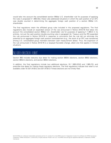would take into account the consolidated section 958(a) U.S. shareholder rule for purposes of applying the rules in proposed § 1.965-3(b); these rules addressed situations in which the cash position of an SFC was double counted in determining the aggregate foreign cash position of a section 958(a) U.S. shareholder.

The final regulations retain the affiliated group rules included in the proposed regulations. The final regulations also include an expanded version of the rule announced in Notice 2018-78 that takes into account the consolidated section 958(a) U.S. shareholder rule for purposes of applying § 1.965-3 in its entirety, not just the cash position double-counting rules in paragraph (b). Treasury and the IRS expanded the rule announced in Notice 2018-78 in response to comments that the rule did not eliminate the potential for an aggregate foreign cash position overstatement (e.g., the stock of an SFC was transferred among U.S. consolidated group members between cash measurement dates). Thus, the expansion of the rule announced in Notice 2018-78 is a taxpayer-favorable change, albeit one that applies in limited situations.

## No late election relief

Section 965 includes statutory due dates for making section 965(h) elections, section 965(i) elections, section 965(m) elections, and section 965(n) elections.

In addition, the final regulations include two additional elections, §§ 1.965-2(f)(2) and 1.965-7(f), and prescribe due dates for making these regulatory elections. The final regulations indicate that relief is not available under §§ 301.9100-2 and 301.9100-3 if these elections are not timely filed.